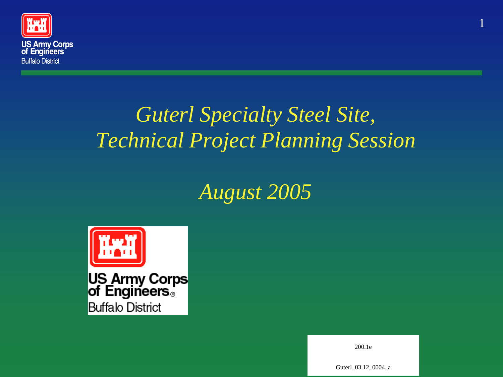

#### *Guterl Specialty Steel Site, Technical Project Planning Session*

#### *August 2005*



**US Army Corps**<br>of Engineers<sup>®</sup> **Buffalo District** 

200.1e

1

Guterl 03.12 0004 a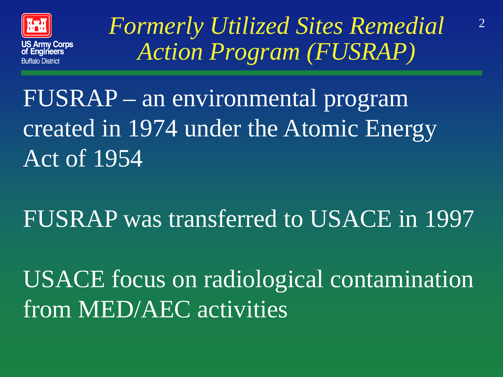

*Formerly Utilized Sites Remedial* <sup>2</sup> *Action Program (FUSRAP)*

FUSRAP – an environmental program created in 1974 under the Atomic Energy Act of 1954

FUSRAP was transferred to USACE in 1997

USACE focus on radiological contamination from MED/AEC activities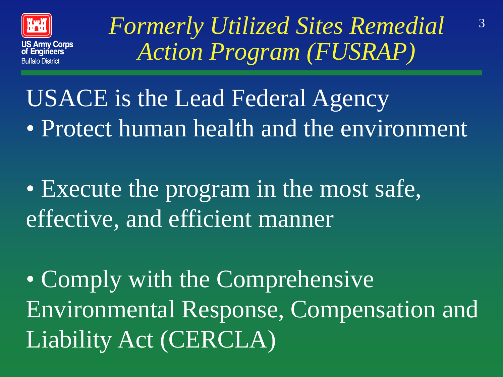

*Formerly Utilized Sites Remedial* <sup>3</sup> *Action Program (FUSRAP)*

USACE is the Lead Federal Agency • Protect human health and the environment

• Execute the program in the most safe, effective, and efficient manner

• Comply with the Comprehensive Environmental Response, Compensation and Liability Act (CERCLA)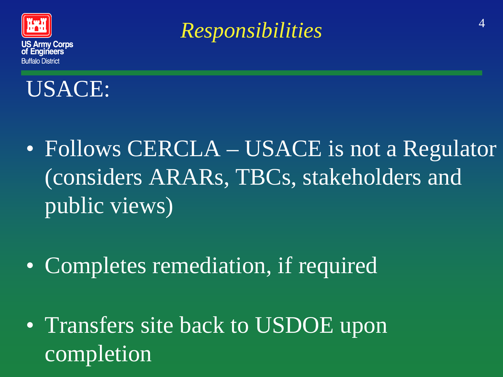

<sup>4</sup> *Responsibilities*



- Follows CERCLA USACE is not a Regulator (considers ARARs, TBCs, stakeholders and public views)
- Completes remediation, if required
- Transfers site back to USDOE upon completion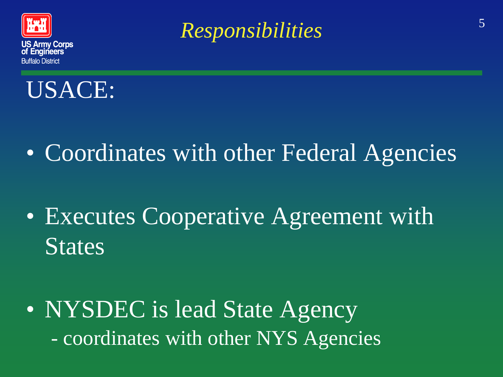

<sup>5</sup> *Responsibilities*



- Coordinates with other Federal Agencies
- Executes Cooperative Agreement with States

• NYSDEC is lead State Agency - coordinates with other NYS Agencies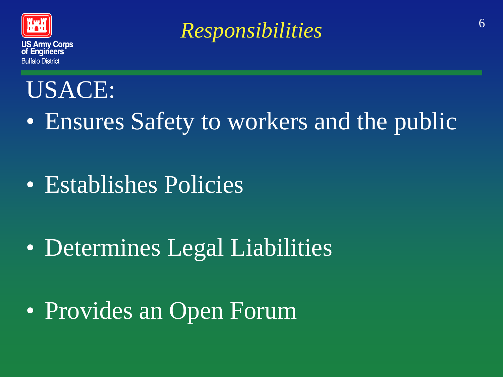

<sup>6</sup> *Responsibilities*

#### USACE:

- Ensures Safety to workers and the public
- Establishes Policies
- Determines Legal Liabilities
- Provides an Open Forum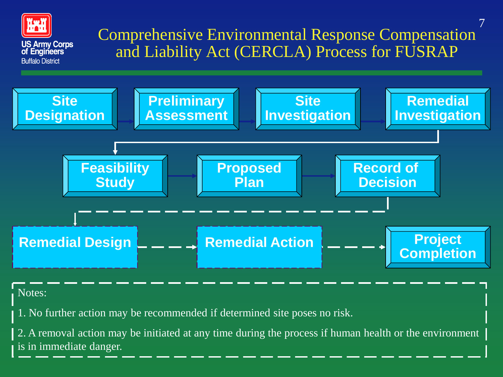

#### Notes:

1. No further action may be recommended if determined site poses no risk.

2. A removal action may be initiated at any time during the process if human health or the environment is in immediate danger.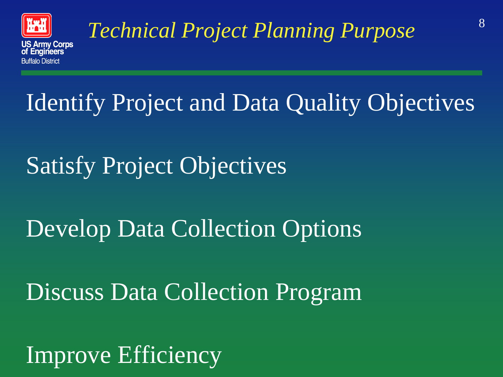

## <sup>8</sup> *Technical Project Planning Purpose*

### Identify Project and Data Quality Objectives

### Satisfy Project Objectives

### Develop Data Collection Options

### Discuss Data Collection Program

### Improve Efficiency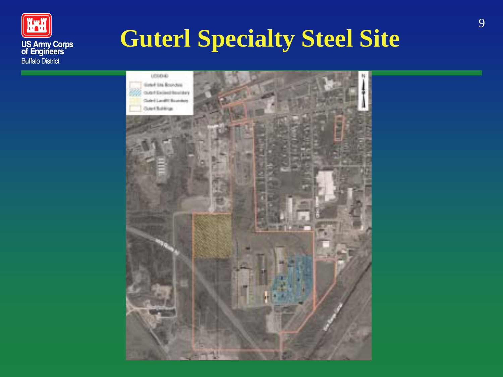

### **Guterl Specialty Steel Site**

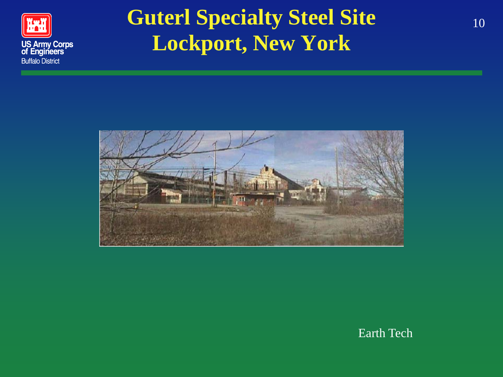

#### **Guterl Specialty Steel Site** 10 **Lockport, New York**



Earth Tech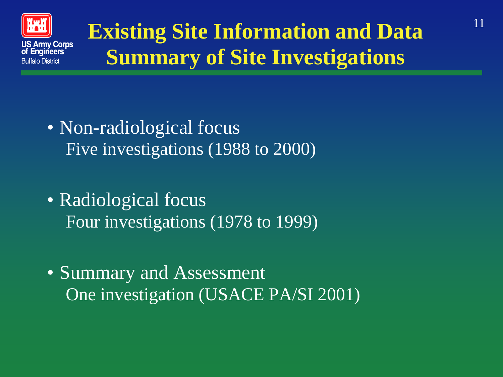

### **Existing Site Information and Data Summary of Site Investigations**

- Non-radiological focus Five investigations (1988 to 2000)
- Radiological focus Four investigations (1978 to 1999)
- Summary and Assessment One investigation (USACE PA/SI 2001)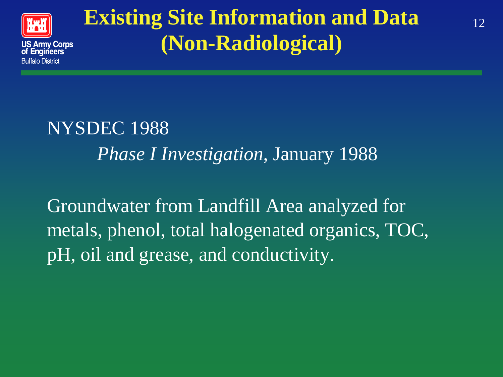

#### **Existing Site Information and Data** 12 **(Non-Radiological)**

NYSDEC 1988 *Phase I Investigation*, January 1988

Groundwater from Landfill Area analyzed for metals, phenol, total halogenated organics, TOC, pH, oil and grease, and conductivity.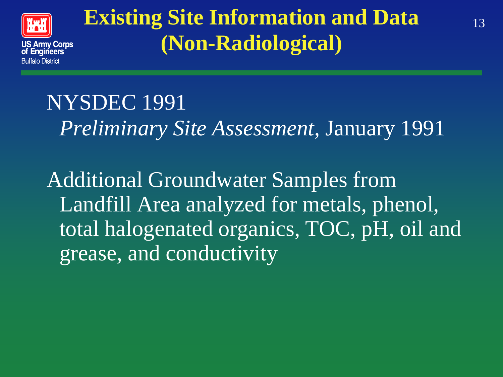

#### **Existing Site Information and Data (Non-Radiological)**

NYSDEC 1991 *Preliminary Site Assessment,* January 1991

Additional Groundwater Samples from Landfill Area analyzed for metals, phenol, total halogenated organics, TOC, pH, oil and grease, and conductivity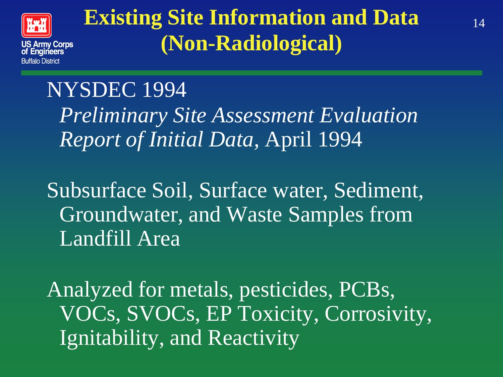

#### **Existing Site Information and Data (Non-Radiological)**

#### NYSDEC 1994 *Preliminary Site Assessment Evaluation Report of Initial Data,* April 1994

Subsurface Soil, Surface water, Sediment, Groundwater, and Waste Samples from Landfill Area

Analyzed for metals, pesticides, PCBs, VOCs, SVOCs, EP Toxicity, Corrosivity, Ignitability, and Reactivity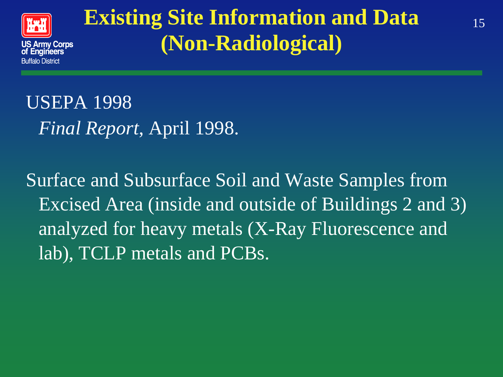

#### **Existing Site Information and Data (Non-Radiological)**

USEPA 1998 *Final Report*, April 1998.

Surface and Subsurface Soil and Waste Samples from Excised Area (inside and outside of Buildings 2 and 3) analyzed for heavy metals (X-Ray Fluorescence and lab), TCLP metals and PCBs.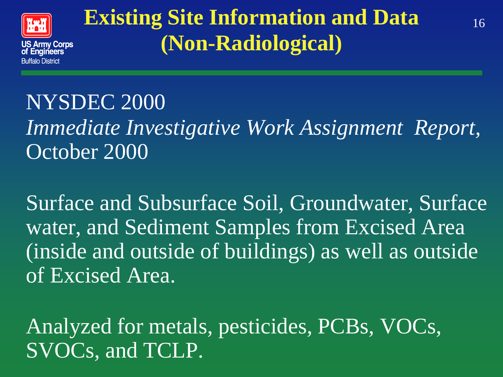

#### **Existing Site Information and Data** 16 **(Non-Radiological)**

#### NYSDEC 2000 *Immediate Investigative Work Assignment Report,* October 2000

Surface and Subsurface Soil, Groundwater, Surface water, and Sediment Samples from Excised Area (inside and outside of buildings) as well as outside of Excised Area.

Analyzed for metals, pesticides, PCBs, VOCs, SVOCs, and TCLP.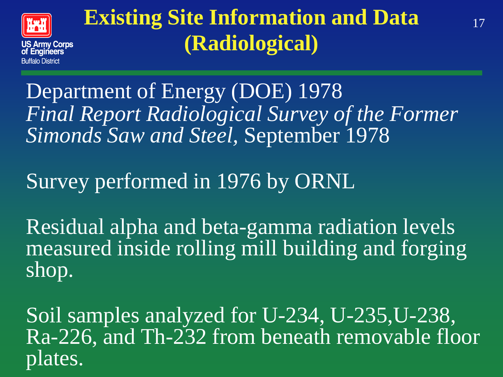

#### **Existing Site Information and Data (Radiological)**

Department of Energy (DOE) 1978 *Final Report Radiological Survey of the Former Simonds Saw and Steel,* September 1978

#### Survey performed in 1976 by ORNL

Residual alpha and beta-gamma radiation levels measured inside rolling mill building and forging shop.

Soil samples analyzed for U-234, U-235,U-238, Ra-226, and Th-232 from beneath removable floor plates.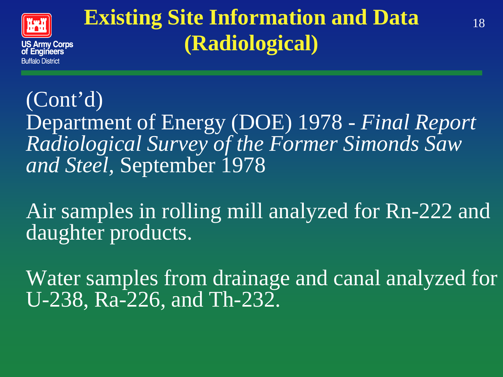

#### **Existing Site Information and Data (Radiological)**

(Cont'd) Department of Energy (DOE) 1978 - *Final Report Radiological Survey of the Former Simonds Saw and Steel,* September 1978

Air samples in rolling mill analyzed for Rn-222 and daughter products.

Water samples from drainage and canal analyzed for U-238, Ra-226, and Th-232.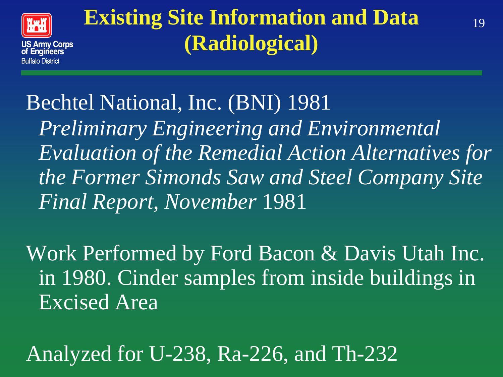

#### **Existing Site Information and Data** 19 **(Radiological)**

Bechtel National, Inc. (BNI) 1981 *Preliminary Engineering and Environmental Evaluation of the Remedial Action Alternatives for the Former Simonds Saw and Steel Company Site Final Report, November* 1981

Work Performed by Ford Bacon & Davis Utah Inc. in 1980. Cinder samples from inside buildings in Excised Area

Analyzed for U-238, Ra-226, and Th-232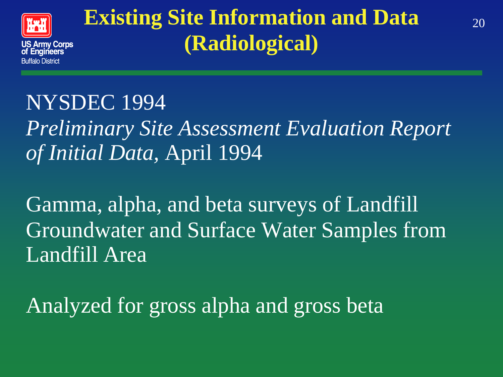

#### **Existing Site Information and Data** 20 **(Radiological)**

#### NYSDEC 1994

*Preliminary Site Assessment Evaluation Report of Initial Data,* April 1994

Gamma, alpha, and beta surveys of Landfill Groundwater and Surface Water Samples from Landfill Area

Analyzed for gross alpha and gross beta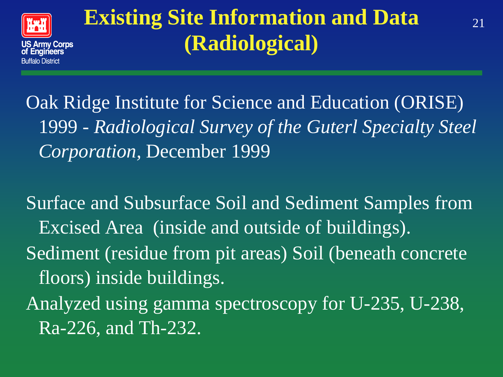

#### **Existing Site Information and Data**  $_{21}$ **(Radiological)**

Oak Ridge Institute for Science and Education (ORISE) 1999 - *Radiological Survey of the Guterl Specialty Steel Corporation,* December 1999

Surface and Subsurface Soil and Sediment Samples from Excised Area (inside and outside of buildings). Sediment (residue from pit areas) Soil (beneath concrete floors) inside buildings.

Analyzed using gamma spectroscopy for U-235, U-238, Ra-226, and Th-232.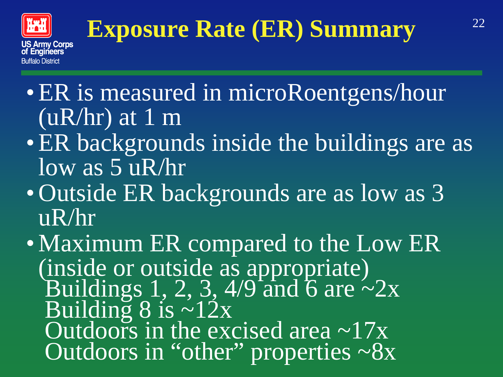

## **Exposure Rate (ER) Summary**<sup>22</sup>

- ER is measured in microRoentgens/hour  $(uR/hr)$  at 1 m
- ER backgrounds inside the buildings are as low as 5 uR/hr
- Outside ER backgrounds are as low as 3 uR/hr
- Maximum ER compared to the Low ER (inside or outside as appropriate) Buildings  $1, 2, 3, 4/9$  and 6 are  $\sim 2x$ Building  $8$  is  $\sim 12x$ Outdoors in the excised area  $\sim$ 17x Outdoors in "other" properties ~8x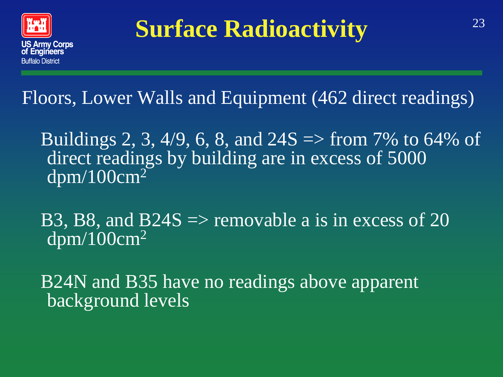

### <sup>23</sup> **Surface Radioactivity**

Floors, Lower Walls and Equipment (462 direct readings)

Buildings 2, 3, 4/9, 6, 8, and  $24S \Rightarrow$  from 7% to 64% of direct readings by building are in excess of 5000  $\frac{dpm}{100}$ cm<sup>2</sup>

B3, B8, and B24S  $\Rightarrow$  removable a is in excess of 20  $\frac{dpm/100cm^2}{dt}$ 

B24N and B35 have no readings above apparent background levels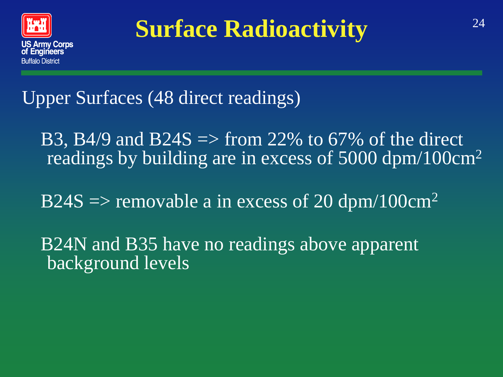

### **Surface Radioactivity**  $24$

Upper Surfaces (48 direct readings)

B3, B4/9 and B24S  $\Rightarrow$  from 22% to 67% of the direct readings by building are in excess of 5000 dpm/100cm2

 $B24S \Rightarrow$  removable a in excess of 20 dpm/100cm<sup>2</sup>

B24N and B35 have no readings above apparent background levels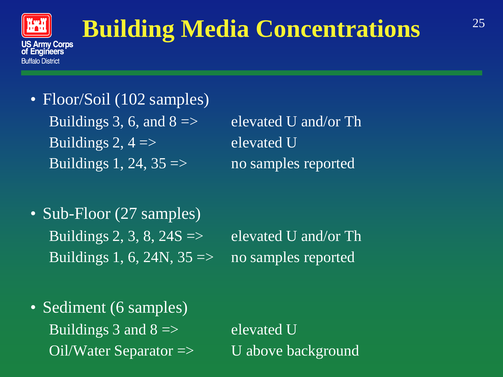

### <sup>25</sup> **Building Media Concentrations**

• Floor/Soil (102 samples) Buildings 3, 6, and  $8 \implies$  elevated U and/or Th Buildings 2,  $4 \Rightarrow$  elevated U Buildings 1, 24,  $35 \Rightarrow$  no samples reported

• Sub-Floor (27 samples) Buildings 2, 3, 8,  $24S \Rightarrow$  elevated U and/or Th Buildings 1, 6, 24 $\overline{N}$ , 35 => no samples reported

• Sediment (6 samples) Buildings 3 and  $8 \implies$  elevated U Oil/Water Separator => U above background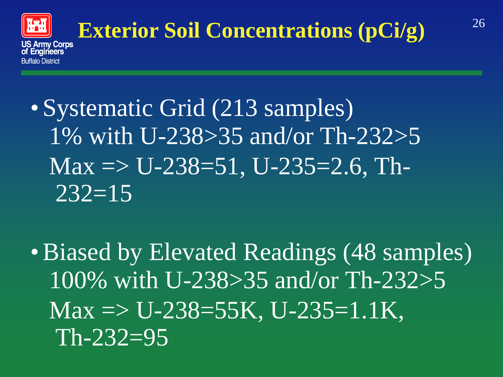

# **Exterior Soil Concentrations (pCi/g)** <sup>26</sup>

- Systematic Grid (213 samples) 1% with U-238>35 and/or Th-232>5  $Max \Rightarrow U-238=51, U-235=2.6$ , Th- $232=15$
- Biased by Elevated Readings (48 samples) 100% with U-238>35 and/or Th-232>5  $Max \Rightarrow U-238=55K$ , U-235=1.1K,  $Th-232=95$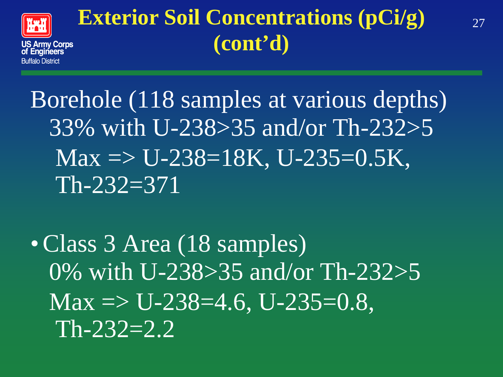

#### **Exterior Soil Concentrations (pCi/g)** 27 **(cont'd)**

Borehole (118 samples at various depths) 33% with U-238>35 and/or Th-232>5  $Max \Rightarrow U-238=18K$ , U-235=0.5K, Th-232=371

• Class 3 Area (18 samples) 0% with U-238>35 and/or Th-232>5  $Max \Rightarrow U-238=4.6$ , U-235=0.8,  $Th-232=2.2$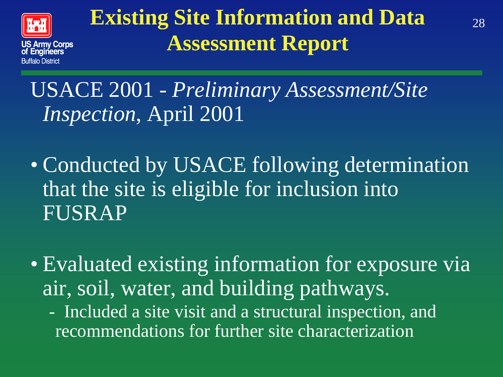

#### **Existing Site Information and Data** 28 **Assessment Report**

#### USACE 2001 - *Preliminary Assessment/Site Inspection*, April 2001

- Conducted by USACE following determination that the site is eligible for inclusion into FUSRAP
- Evaluated existing information for exposure via air, soil, water, and building pathways.
	- Included a site visit and a structural inspection, and recommendations for further site characterization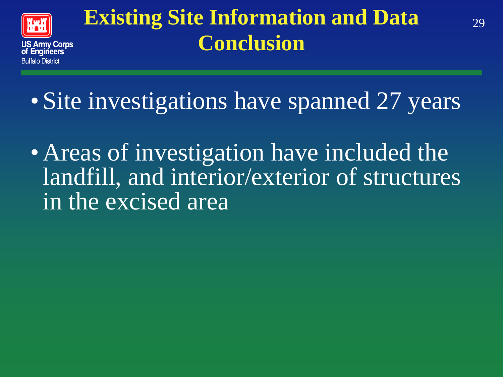

#### **Existing Site Information and Data** 29 **Conclusion**

• Site investigations have spanned 27 years

• Areas of investigation have included the landfill, and interior/exterior of structures in the excised area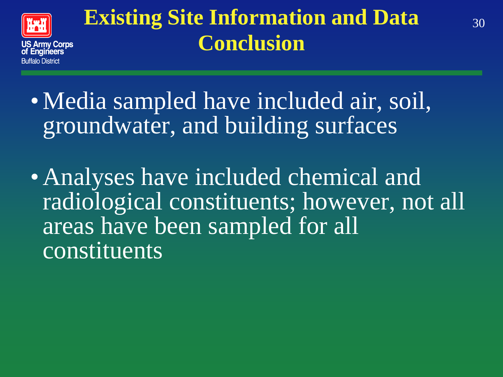

#### **Existing Site Information and Data** 30 **Conclusion**

• Media sampled have included air, soil, groundwater, and building surfaces

• Analyses have included chemical and radiological constituents; however, not all areas have been sampled for all constituents